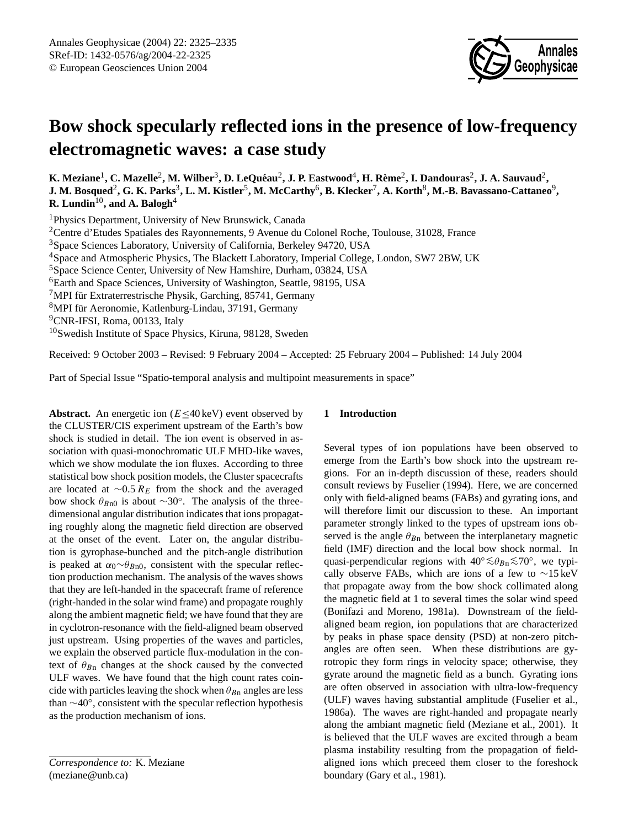

# **Bow shock specularly reflected ions in the presence of low-frequency electromagnetic waves: a case study**

 $K$ . Meziane<sup>1</sup>, C. Mazelle<sup>2</sup>, M. Wilber<sup>3</sup>, D. LeQuéau<sup>2</sup>, J. P. Eastwood<sup>4</sup>, H. Rème<sup>2</sup>, I. Dandouras<sup>2</sup>, J. A. Sauvaud<sup>2</sup>,  $\bf J.$  M. Bosqued<sup>2</sup>, G. K. Parks $^3$ , L. M. Kistler $^5$ , M. McCarthy $^6$ , B. Klecker $^7$ , A. Korth $^8$ , M.-B. Bavassano-Cattaneo $^9$ , **R. Lundin**10**, and A. Balogh**<sup>4</sup>

Physics Department, University of New Brunswick, Canada Centre d'Etudes Spatiales des Rayonnements, 9 Avenue du Colonel Roche, Toulouse, 31028, France Space Sciences Laboratory, University of California, Berkeley 94720, USA Space and Atmospheric Physics, The Blackett Laboratory, Imperial College, London, SW7 2BW, UK Space Science Center, University of New Hamshire, Durham, 03824, USA Earth and Space Sciences, University of Washington, Seattle, 98195, USA

 $7$ MPI für Extraterrestrische Physik, Garching, 85741, Germany

<sup>8</sup>MPI für Aeronomie, Katlenburg-Lindau, 37191, Germany

<sup>9</sup>CNR-IFSI, Roma, 00133, Italy

<sup>10</sup>Swedish Institute of Space Physics, Kiruna, 98128, Sweden

Received: 9 October 2003 – Revised: 9 February 2004 – Accepted: 25 February 2004 – Published: 14 July 2004

Part of Special Issue "Spatio-temporal analysis and multipoint measurements in space"

**Abstract.** An energetic ion ( $E \le 40 \text{ keV}$ ) event observed by the CLUSTER/CIS experiment upstream of the Earth's bow shock is studied in detail. The ion event is observed in association with quasi-monochromatic ULF MHD-like waves, which we show modulate the ion fluxes. According to three statistical bow shock position models, the Cluster spacecrafts are located at  $\sim$ 0.5  $R_E$  from the shock and the averaged bow shock  $\theta_{Bn0}$  is about ∼30°. The analysis of the threedimensional angular distribution indicates that ions propagating roughly along the magnetic field direction are observed at the onset of the event. Later on, the angular distribution is gyrophase-bunched and the pitch-angle distribution is peaked at  $\alpha_0 \sim \theta_{Bn0}$ , consistent with the specular reflection production mechanism. The analysis of the waves shows that they are left-handed in the spacecraft frame of reference (right-handed in the solar wind frame) and propagate roughly along the ambient magnetic field; we have found that they are in cyclotron-resonance with the field-aligned beam observed just upstream. Using properties of the waves and particles, we explain the observed particle flux-modulation in the context of  $\theta_{Bn}$  changes at the shock caused by the convected ULF waves. We have found that the high count rates coincide with particles leaving the shock when  $\theta_{Bn}$  angles are less than ∼40◦ , consistent with the specular reflection hypothesis as the production mechanism of ions.

# **1 Introduction**

Several types of ion populations have been observed to emerge from the Earth's bow shock into the upstream regions. For an in-depth discussion of these, readers should consult reviews by Fuselier (1994). Here, we are concerned only with field-aligned beams (FABs) and gyrating ions, and will therefore limit our discussion to these. An important parameter strongly linked to the types of upstream ions observed is the angle  $\theta_{Bn}$  between the interplanetary magnetic field (IMF) direction and the local bow shock normal. In quasi-perpendicular regions with  $40^{\circ} \lesssim \theta_{Bn} \lesssim 70^{\circ}$ , we typically observe FABs, which are ions of a few to ∼15 keV that propagate away from the bow shock collimated along the magnetic field at 1 to several times the solar wind speed (Bonifazi and Moreno, 1981a). Downstream of the fieldaligned beam region, ion populations that are characterized by peaks in phase space density (PSD) at non-zero pitchangles are often seen. When these distributions are gyrotropic they form rings in velocity space; otherwise, they gyrate around the magnetic field as a bunch. Gyrating ions are often observed in association with ultra-low-frequency (ULF) waves having substantial amplitude (Fuselier et al., 1986a). The waves are right-handed and propagate nearly along the ambiant magnetic field (Meziane et al., 2001). It is believed that the ULF waves are excited through a beam plasma instability resulting from the propagation of fieldaligned ions which preceed them closer to the foreshock boundary (Gary et al., 1981).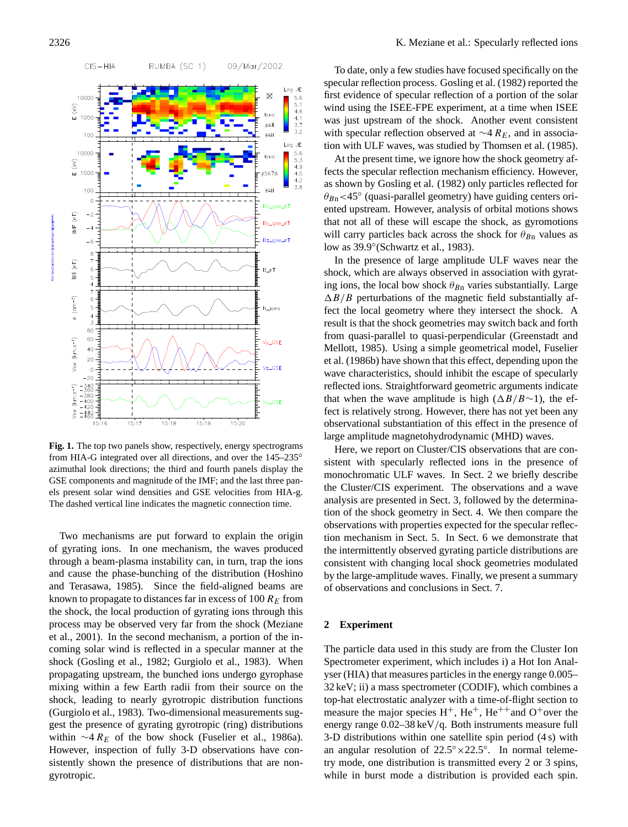

**Fig. 1.** The top two panels show, respectively, energy spectrograms from HIA-G integrated over all directions, and over the 145–235<sup>°</sup> azimuthal look directions; the third and fourth panels display the GSE components and magnitude of the IMF; and the last three panels present solar wind densities and GSE velocities from HIA-g. The dashed vertical line indicates the magnetic connection time.

Two mechanisms are put forward to explain the origin of gyrating ions. In one mechanism, the waves produced through a beam-plasma instability can, in turn, trap the ions and cause the phase-bunching of the distribution (Hoshino and Terasawa, 1985). Since the field-aligned beams are known to propagate to distances far in excess of 100  $R_E$  from the shock, the local production of gyrating ions through this process may be observed very far from the shock (Meziane et al., 2001). In the second mechanism, a portion of the incoming solar wind is reflected in a specular manner at the shock (Gosling et al., 1982; Gurgiolo et al., 1983). When propagating upstream, the bunched ions undergo gyrophase mixing within a few Earth radii from their source on the shock, leading to nearly gyrotropic distribution functions (Gurgiolo et al., 1983). Two-dimensional measurements suggest the presence of gyrating gyrotropic (ring) distributions within  $\sim$ 4 R<sub>E</sub> of the bow shock (Fuselier et al., 1986a). However, inspection of fully 3-D observations have consistently shown the presence of distributions that are nongyrotropic.

To date, only a few studies have focused specifically on the specular reflection process. Gosling et al. (1982) reported the first evidence of specular reflection of a portion of the solar wind using the ISEE-FPE experiment, at a time when ISEE was just upstream of the shock. Another event consistent with specular reflection observed at  $\sim$ 4 R<sub>E</sub>, and in association with ULF waves, was studied by Thomsen et al. (1985).

At the present time, we ignore how the shock geometry affects the specular reflection mechanism efficiency. However, as shown by Gosling et al. (1982) only particles reflected for  $\theta_{Bn}$ <45° (quasi-parallel geometry) have guiding centers oriented upstream. However, analysis of orbital motions shows that not all of these will escape the shock, as gyromotions will carry particles back across the shock for  $\theta_{Bn}$  values as low as 39.9◦ (Schwartz et al., 1983).

In the presence of large amplitude ULF waves near the shock, which are always observed in association with gyrating ions, the local bow shock  $\theta_{Bn}$  varies substantially. Large  $\Delta B/B$  perturbations of the magnetic field substantially affect the local geometry where they intersect the shock. A result is that the shock geometries may switch back and forth from quasi-parallel to quasi-perpendicular (Greenstadt and Mellott, 1985). Using a simple geometrical model, Fuselier et al. (1986b) have shown that this effect, depending upon the wave characteristics, should inhibit the escape of specularly reflected ions. Straightforward geometric arguments indicate that when the wave amplitude is high  $(\Delta B/B \sim 1)$ , the effect is relatively strong. However, there has not yet been any observational substantiation of this effect in the presence of large amplitude magnetohydrodynamic (MHD) waves.

Here, we report on Cluster/CIS observations that are consistent with specularly reflected ions in the presence of monochromatic ULF waves. In Sect. 2 we briefly describe the Cluster/CIS experiment. The observations and a wave analysis are presented in Sect. 3, followed by the determination of the shock geometry in Sect. 4. We then compare the observations with properties expected for the specular reflection mechanism in Sect. 5. In Sect. 6 we demonstrate that the intermittently observed gyrating particle distributions are consistent with changing local shock geometries modulated by the large-amplitude waves. Finally, we present a summary of observations and conclusions in Sect. 7.

# **2 Experiment**

The particle data used in this study are from the Cluster Ion Spectrometer experiment, which includes i) a Hot Ion Analyser (HIA) that measures particles in the energy range 0.005– 32 keV; ii) a mass spectrometer (CODIF), which combines a top-hat electrostatic analyzer with a time-of-flight section to measure the major species  $H^+$ ,  $He^+$ ,  $He^{++}$  and  $O^+$  over the energy range 0.02–38 keV/q. Both instruments measure full 3-D distributions within one satellite spin period (4 s) with an angular resolution of  $22.5° \times 22.5°$ . In normal telemetry mode, one distribution is transmitted every 2 or 3 spins, while in burst mode a distribution is provided each spin.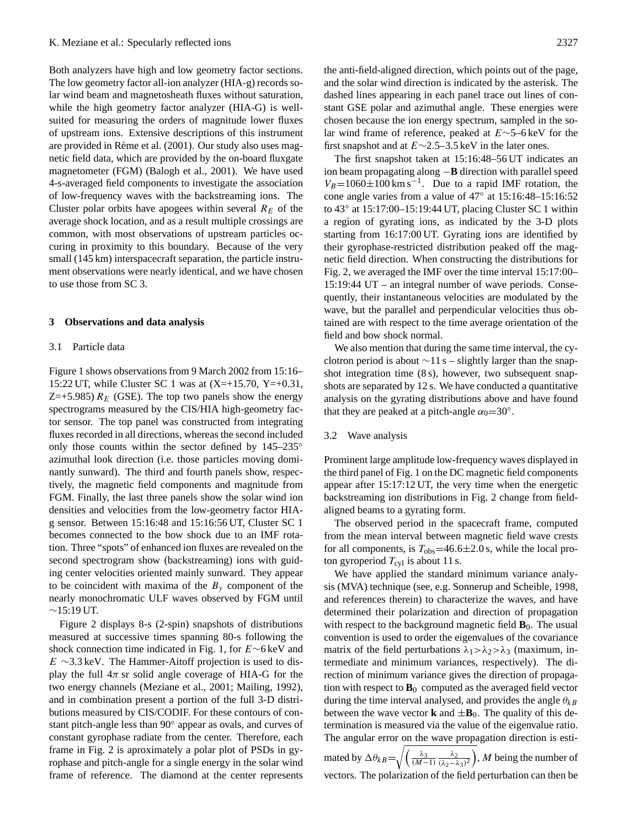Both analyzers have high and low geometry factor sections. The low geometry factor all-ion analyzer (HIA-g) records solar wind beam and magnetosheath fluxes without saturation, while the high geometry factor analyzer (HIA-G) is wellsuited for measuring the orders of magnitude lower fluxes of upstream ions. Extensive descriptions of this instrument are provided in Rème et al. (2001). Our study also uses magnetic field data, which are provided by the on-board fluxgate magnetometer (FGM) (Balogh et al., 2001). We have used 4-s-averaged field components to investigate the association of low-frequency waves with the backstreaming ions. The Cluster polar orbits have apogees within several  $R_E$  of the average shock location, and as a result multiple crossings are common, with most observations of upstream particles occuring in proximity to this boundary. Because of the very small (145 km) interspacecraft separation, the particle instrument observations were nearly identical, and we have chosen to use those from SC 3.

#### **3 Observations and data analysis**

#### 3.1 Particle data

Figure 1 shows observations from 9 March 2002 from 15:16– 15:22 UT, while Cluster SC 1 was at  $(X=+15.70, Y=+0.31,$ Z=+5.985)  $R_E$  (GSE). The top two panels show the energy spectrograms measured by the CIS/HIA high-geometry factor sensor. The top panel was constructed from integrating fluxes recorded in all directions, whereas the second included only those counts within the sector defined by  $145-235°$ azimuthal look direction (i.e. those particles moving dominantly sunward). The third and fourth panels show, respectively, the magnetic field components and magnitude from FGM. Finally, the last three panels show the solar wind ion densities and velocities from the low-geometry factor HIAg sensor. Between 15:16:48 and 15:16:56 UT, Cluster SC 1 becomes connected to the bow shock due to an IMF rotation. Three "spots" of enhanced ion fluxes are revealed on the second spectrogram show (backstreaming) ions with guiding center velocities oriented mainly sunward. They appear to be coincident with maxima of the  $B_y$  component of the nearly monochromatic ULF waves observed by FGM until  $∼15:19$  UT.

Figure 2 displays 8-s (2-spin) snapshots of distributions measured at successive times spanning 80-s following the shock connection time indicated in Fig. 1, for E∼6 keV and  $E \sim 3.3 \,\text{keV}$ . The Hammer-Aitoff projection is used to display the full  $4\pi$  sr solid angle coverage of HIA-G for the two energy channels (Meziane et al., 2001; Mailing, 1992), and in combination present a portion of the full 3-D distributions measured by CIS/CODIF. For these contours of constant pitch-angle less than 90° appear as ovals, and curves of constant gyrophase radiate from the center. Therefore, each frame in Fig. 2 is aproximately a polar plot of PSDs in gyrophase and pitch-angle for a single energy in the solar wind frame of reference. The diamond at the center represents the anti-field-aligned direction, which points out of the page, and the solar wind direction is indicated by the asterisk. The dashed lines appearing in each panel trace out lines of constant GSE polar and azimuthal angle. These energies were chosen because the ion energy spectrum, sampled in the solar wind frame of reference, peaked at E∼5–6 keV for the first snapshot and at  $E \sim 2.5-3.5$  keV in the later ones.

The first snapshot taken at 15:16:48–56 UT indicates an ion beam propagating along −**B** direction with parallel speed  $V_B$ =1060±100 km s<sup>-1</sup>. Due to a rapid IMF rotation, the cone angle varies from a value of 47◦ at 15:16:48–15:16:52 to 43◦ at 15:17:00–15:19:44 UT, placing Cluster SC 1 within a region of gyrating ions, as indicated by the 3-D plots starting from 16:17:00 UT. Gyrating ions are identified by their gyrophase-restricted distribution peaked off the magnetic field direction. When constructing the distributions for Fig. 2, we averaged the IMF over the time interval 15:17:00– 15:19:44 UT – an integral number of wave periods. Consequently, their instantaneous velocities are modulated by the wave, but the parallel and perpendicular velocities thus obtained are with respect to the time average orientation of the field and bow shock normal.

We also mention that during the same time interval, the cyclotron period is about ∼11 s – slightly larger than the snapshot integration time (8 s), however, two subsequent snapshots are separated by 12 s. We have conducted a quantitative analysis on the gyrating distributions above and have found that they are peaked at a pitch-angle  $\alpha_0$ =30°.

#### 3.2 Wave analysis

Prominent large amplitude low-frequency waves displayed in the third panel of Fig. 1 on the DC magnetic field components appear after 15:17:12 UT, the very time when the energetic backstreaming ion distributions in Fig. 2 change from fieldaligned beams to a gyrating form.

The observed period in the spacecraft frame, computed from the mean interval between magnetic field wave crests for all components, is  $T_{obs} = 46.6 \pm 2.0$  s, while the local proton gyroperiod  $T_{\text{cyl}}$  is about 11 s.

We have applied the standard minimum variance analysis (MVA) technique (see, e.g. Sonnerup and Scheible, 1998, and references therein) to characterize the waves, and have determined their polarization and direction of propagation with respect to the background magnetic field  $\mathbf{B}_0$ . The usual convention is used to order the eigenvalues of the covariance matrix of the field perturbations  $\lambda_1 > \lambda_2 > \lambda_3$  (maximum, intermediate and minimum variances, respectively). The direction of minimum variance gives the direction of propagation with respect to  $\mathbf{B}_0$  computed as the averaged field vector during the time interval analysed, and provides the angle  $\theta_{kB}$ between the wave vector **k** and  $\pm \mathbf{B}_0$ . The quality of this determination is measured via the value of the eigenvalue ratio. The angular error on the wave propagation direction is estimated by  $\Delta \theta_{kB} = \sqrt{\left(\frac{\lambda_3}{(M-1)}\frac{\lambda_2}{(\lambda_2 - \lambda_3)}\right)}$  $\left(\frac{\lambda_2}{(\lambda_2-\lambda_3)^2}\right)$ , *M* being the number of vectors. The polarization of the field perturbation can then be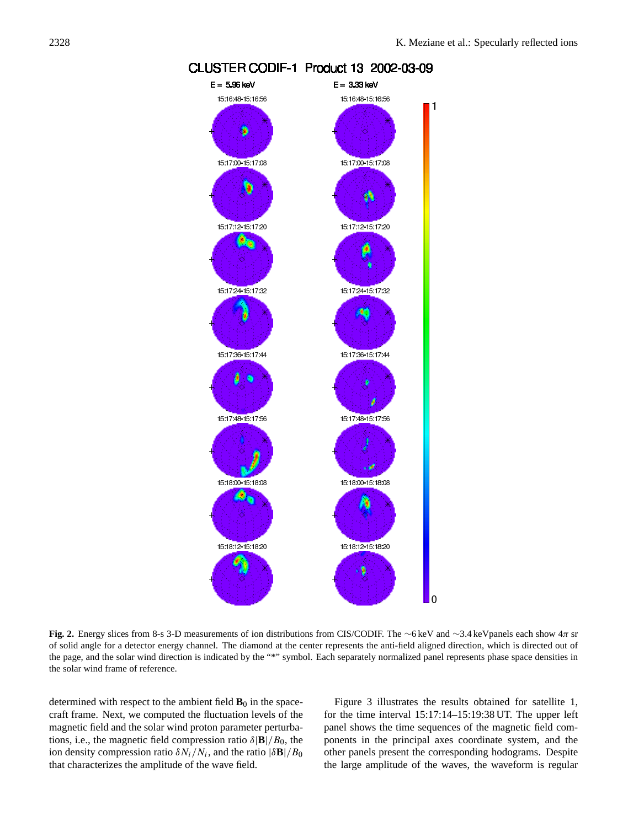

# CLUSTER CODIF-1 Product 13 2002-03-09

**Fig. 2.** Energy slices from 8-s 3-D measurements of ion distributions from CIS/CODIF. The ∼6 keV and ∼3.4 keVpanels each show 4π sr of solid angle for a detector energy channel. The diamond at the center represents the anti-field aligned direction, which is directed out of the page, and the solar wind direction is indicated by the "\*" symbol. Each separately normalized panel represents phase space densities in the solar wind frame of reference.

determined with respect to the ambient field  $\mathbf{B}_0$  in the spacecraft frame. Next, we computed the fluctuation levels of the magnetic field and the solar wind proton parameter perturbations, i.e., the magnetic field compression ratio  $\delta$ |**B**|/ $B_0$ , the ion density compression ratio  $\delta N_i/N_i$ , and the ratio  $|\delta \mathbf{B}|/B_0$ that characterizes the amplitude of the wave field.

Figure 3 illustrates the results obtained for satellite 1, for the time interval 15:17:14–15:19:38 UT. The upper left panel shows the time sequences of the magnetic field components in the principal axes coordinate system, and the other panels present the corresponding hodograms. Despite the large amplitude of the waves, the waveform is regular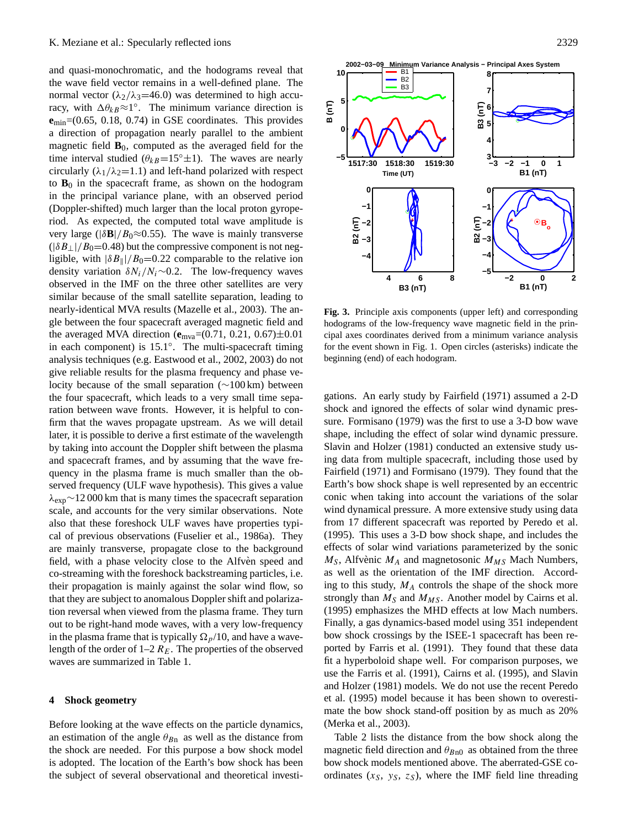and quasi-monochromatic, and the hodograms reveal that the wave field vector remains in a well-defined plane. The normal vector ( $\lambda_2/\lambda_3$ =46.0) was determined to high accuracy, with  $\Delta \theta_{kB} \approx 1^\circ$ . The minimum variance direction is **e**min=(0.65, 0.18, 0.74) in GSE coordinates. This provides a direction of propagation nearly parallel to the ambient magnetic field  $\mathbf{B}_0$ , computed as the averaged field for the time interval studied ( $\theta_{kB}$ =15°±1). The waves are nearly circularly  $(\lambda_1/\lambda_2=1.1)$  and left-hand polarized with respect to  $\mathbf{B}_0$  in the spacecraft frame, as shown on the hodogram in the principal variance plane, with an observed period (Doppler-shifted) much larger than the local proton gyroperiod. As expected, the computed total wave amplitude is very large ( $|\delta \mathbf{B}|/B_0 \approx 0.55$ ). The wave is mainly transverse  $(|\delta B_{\perp}|/B_0=0.48)$  but the compressive component is not negligible, with  $|\delta B_{\parallel}|/B_0=0.22$  comparable to the relative ion density variation  $\delta N_i/N_i \sim 0.2$ . The low-frequency waves observed in the IMF on the three other satellites are very similar because of the small satellite separation, leading to nearly-identical MVA results (Mazelle et al., 2003). The angle between the four spacecraft averaged magnetic field and the averaged MVA direction (**e**mva=(0.71, 0.21, 0.67)±0.01 in each component) is 15.1◦ . The multi-spacecraft timing analysis techniques (e.g. Eastwood et al., 2002, 2003) do not give reliable results for the plasma frequency and phase velocity because of the small separation (∼100 km) between the four spacecraft, which leads to a very small time separation between wave fronts. However, it is helpful to confirm that the waves propagate upstream. As we will detail later, it is possible to derive a first estimate of the wavelength by taking into account the Doppler shift between the plasma and spacecraft frames, and by assuming that the wave frequency in the plasma frame is much smaller than the observed frequency (ULF wave hypothesis). This gives a value  $\lambda_{\rm exp}$ ∼12 000 km that is many times the spacecraft separation scale, and accounts for the very similar observations. Note also that these foreshock ULF waves have properties typical of previous observations (Fuselier et al., 1986a). They are mainly transverse, propagate close to the background field, with a phase velocity close to the Alfvèn speed and co-streaming with the foreshock backstreaming particles, i.e. their propagation is mainly against the solar wind flow, so that they are subject to anomalous Doppler shift and polarization reversal when viewed from the plasma frame. They turn out to be right-hand mode waves, with a very low-frequency in the plasma frame that is typically  $\Omega_p/10$ , and have a wavelength of the order of  $1-2 R_E$ . The properties of the observed waves are summarized in Table 1.

### **4 Shock geometry**

Before looking at the wave effects on the particle dynamics, an estimation of the angle  $\theta_{Bn}$  as well as the distance from the shock are needed. For this purpose a bow shock model is adopted. The location of the Earth's bow shock has been the subject of several observational and theoretical investi-



**Fig. 3.** Principle axis components (upper left) and corresponding hodograms of the low-frequency wave magnetic field in the principal axes coordinates derived from a minimum variance analysis for the event shown in Fig. 1. Open circles (asterisks) indicate the beginning (end) of each hodogram.

gations. An early study by Fairfield (1971) assumed a 2-D shock and ignored the effects of solar wind dynamic pressure. Formisano (1979) was the first to use a 3-D bow wave shape, including the effect of solar wind dynamic pressure. Slavin and Holzer (1981) conducted an extensive study using data from multiple spacecraft, including those used by Fairfield (1971) and Formisano (1979). They found that the Earth's bow shock shape is well represented by an eccentric conic when taking into account the variations of the solar wind dynamical pressure. A more extensive study using data from 17 different spacecraft was reported by Peredo et al. (1995). This uses a 3-D bow shock shape, and includes the effects of solar wind variations parameterized by the sonic  $M<sub>S</sub>$ , Alfvènic  $M<sub>A</sub>$  and magnetosonic  $M<sub>MS</sub>$  Mach Numbers, as well as the orientation of the IMF direction. According to this study,  $M_A$  controls the shape of the shock more strongly than  $M<sub>S</sub>$  and  $M<sub>MS</sub>$ . Another model by Cairns et al. (1995) emphasizes the MHD effects at low Mach numbers. Finally, a gas dynamics-based model using 351 independent bow shock crossings by the ISEE-1 spacecraft has been reported by Farris et al. (1991). They found that these data fit a hyperboloid shape well. For comparison purposes, we use the Farris et al. (1991), Cairns et al. (1995), and Slavin and Holzer (1981) models. We do not use the recent Peredo et al. (1995) model because it has been shown to overestimate the bow shock stand-off position by as much as 20% (Merka et al., 2003).

Table 2 lists the distance from the bow shock along the magnetic field direction and  $\theta_{Bn0}$  as obtained from the three bow shock models mentioned above. The aberrated-GSE coordinates  $(x_S, y_S, z_S)$ , where the IMF field line threading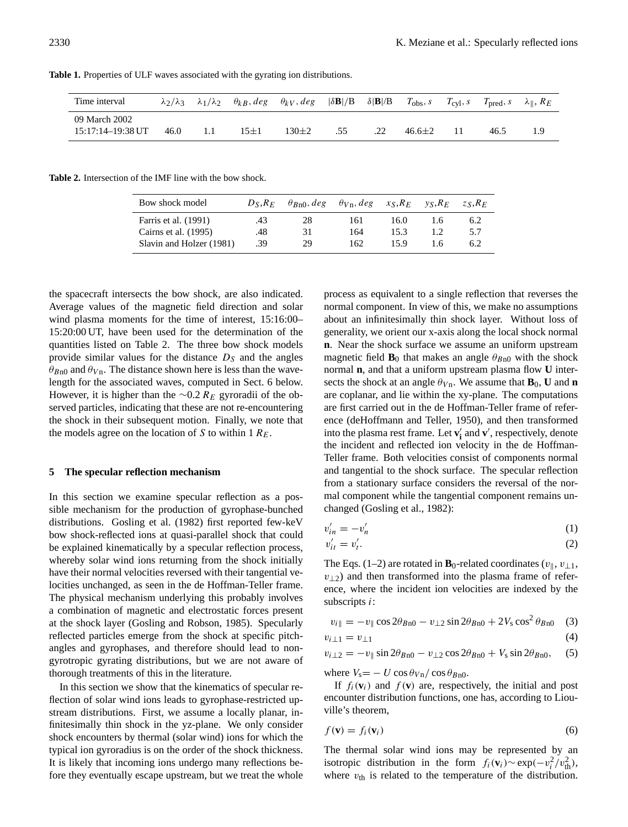| Time interval                                |      |          | $\lambda_2/\lambda_3$ $\lambda_1/\lambda_2$ $\theta_{kB}$ , deg $\theta_{kV}$ , deg $ \delta \mathbf{B} /B$ $\delta  \mathbf{B} /B$ $T_{obs}$ , s $T_{cyl}$ , s $T_{pred}$ , s $\lambda_{\parallel}$ , $R_E$ |     |            |      |  |
|----------------------------------------------|------|----------|--------------------------------------------------------------------------------------------------------------------------------------------------------------------------------------------------------------|-----|------------|------|--|
| 09 March 2002<br>$15:17:14-19:38 \text{ UT}$ | 46.0 | $15 + 1$ | $130+2$                                                                                                                                                                                                      | .55 | $46.6 + 2$ | 46.5 |  |

**Table 1.** Properties of ULF waves associated with the gyrating ion distributions.

**Table 2.** Intersection of the IMF line with the bow shock.

| Bow shock model          | $D_S, R_F$ | $\theta_{Rn0}$ , deg | $\theta_{Vn}$ , deg | $x_S, R_E$ | $v_S, R_E$ | $Z_S, K_F$ |
|--------------------------|------------|----------------------|---------------------|------------|------------|------------|
| Farris et al. (1991)     | .43        | 28                   | 161                 | 16.0       | 1.6        | 6.2        |
| Cairns et al. (1995)     | .48        | 31                   | 164                 | 15.3       | 1.2.       | 5.7        |
| Slavin and Holzer (1981) | .39        | 29                   | 162                 | 15.9       | 16         | 6.2        |

the spacecraft intersects the bow shock, are also indicated. Average values of the magnetic field direction and solar wind plasma moments for the time of interest, 15:16:00– 15:20:00 UT, have been used for the determination of the quantities listed on Table 2. The three bow shock models provide similar values for the distance  $D<sub>S</sub>$  and the angles  $\theta_{Bn0}$  and  $\theta_{Vn}$ . The distance shown here is less than the wavelength for the associated waves, computed in Sect. 6 below. However, it is higher than the  $\sim$ 0.2 R<sub>E</sub> gyroradii of the observed particles, indicating that these are not re-encountering the shock in their subsequent motion. Finally, we note that the models agree on the location of S to within 1  $R_E$ .

#### **5 The specular reflection mechanism**

In this section we examine specular reflection as a possible mechanism for the production of gyrophase-bunched distributions. Gosling et al. (1982) first reported few-keV bow shock-reflected ions at quasi-parallel shock that could be explained kinematically by a specular reflection process, whereby solar wind ions returning from the shock initially have their normal velocities reversed with their tangential velocities unchanged, as seen in the de Hoffman-Teller frame. The physical mechanism underlying this probably involves a combination of magnetic and electrostatic forces present at the shock layer (Gosling and Robson, 1985). Specularly reflected particles emerge from the shock at specific pitchangles and gyrophases, and therefore should lead to nongyrotropic gyrating distributions, but we are not aware of thorough treatments of this in the literature.

In this section we show that the kinematics of specular reflection of solar wind ions leads to gyrophase-restricted upstream distributions. First, we assume a locally planar, infinitesimally thin shock in the yz-plane. We only consider shock encounters by thermal (solar wind) ions for which the typical ion gyroradius is on the order of the shock thickness. It is likely that incoming ions undergo many reflections before they eventually escape upstream, but we treat the whole process as equivalent to a single reflection that reverses the normal component. In view of this, we make no assumptions about an infinitesimally thin shock layer. Without loss of generality, we orient our x-axis along the local shock normal **n**. Near the shock surface we assume an uniform upstream magnetic field  $\mathbf{B}_0$  that makes an angle  $\theta_{Bn0}$  with the shock normal **n**, and that a uniform upstream plasma flow **U** intersects the shock at an angle  $\theta_{Vn}$ . We assume that **B**<sub>0</sub>, **U** and **n** are coplanar, and lie within the xy-plane. The computations are first carried out in the de Hoffman-Teller frame of reference (deHoffmann and Teller, 1950), and then transformed into the plasma rest frame. Let  $\mathbf{v}'_i$  and  $\mathbf{v}'$ , respectively, denote the incident and reflected ion velocity in the de Hoffman-Teller frame. Both velocities consist of components normal and tangential to the shock surface. The specular reflection from a stationary surface considers the reversal of the normal component while the tangential component remains unchanged (Gosling et al., 1982):

$$
v'_{in} = -v'_n \tag{1}
$$

$$
v'_{it} = v'_{t}.\tag{2}
$$

The Eqs. (1–2) are rotated in  $\mathbf{B}_0$ -related coordinates ( $v_{\parallel}, v_{\perp 1}$ ,  $v_{\perp2}$ ) and then transformed into the plasma frame of reference, where the incident ion velocities are indexed by the subscripts i:

$$
v_{i\parallel} = -v_{\parallel} \cos 2\theta_{Bn0} - v_{\perp 2} \sin 2\theta_{Bn0} + 2V_{s} \cos^{2} \theta_{Bn0} \quad (3)
$$

$$
v_{i\perp 1} = v_{\perp 1} \tag{4}
$$

$$
v_{i\perp 2} = -v_{\parallel} \sin 2\theta_{Bn0} - v_{\perp 2} \cos 2\theta_{Bn0} + V_{\rm s} \sin 2\theta_{Bn0}, \quad (5)
$$

where  $V_s = -U \cos \theta_{Vn} / \cos \theta_{Bn0}$ .

If  $f_i(\mathbf{v}_i)$  and  $f(\mathbf{v})$  are, respectively, the initial and post encounter distribution functions, one has, according to Liouville's theorem,

$$
f(\mathbf{v}) = f_i(\mathbf{v}_i) \tag{6}
$$

The thermal solar wind ions may be represented by an isotropic distribution in the form  $f_i(\mathbf{v}_i) \sim \exp(-v_i^2/v_{\text{th}}^2)$ , where  $v_{\text{th}}$  is related to the temperature of the distribution.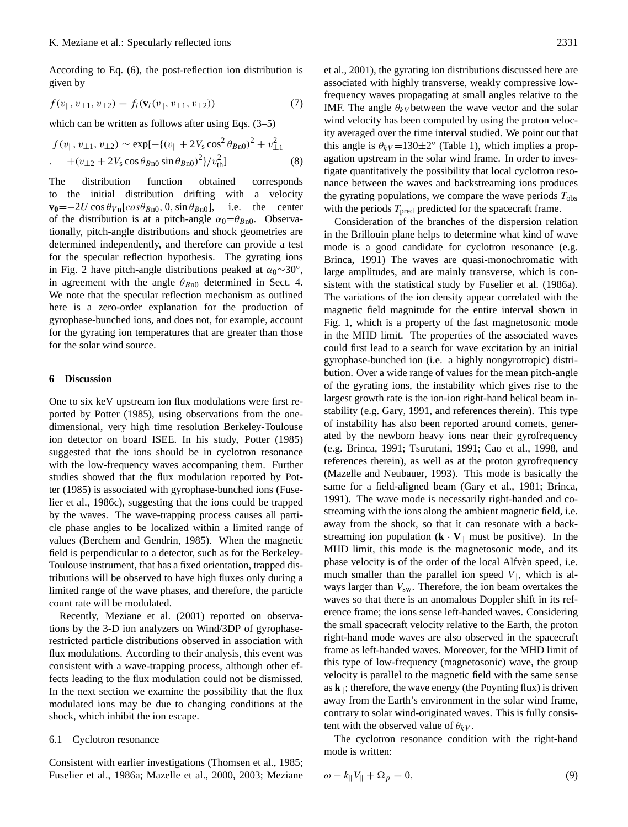According to Eq. (6), the post-reflection ion distribution is given by

$$
f(v_{\parallel}, v_{\perp 1}, v_{\perp 2}) = f_i(\mathbf{v}_i(v_{\parallel}, v_{\perp 1}, v_{\perp 2}))
$$
\n(7)

which can be written as follows after using Eqs. (3–5)

$$
f(v_{\parallel}, v_{\perp 1}, v_{\perp 2}) \sim \exp[-\{(v_{\parallel} + 2V_{\rm s} \cos^2 \theta_{B\rm n0})^2 + v_{\perp 1}^2 \} \cdot \left. + (v_{\perp 2} + 2V_{\rm s} \cos \theta_{B\rm n0} \sin \theta_{B\rm n0})^2\}/v_{\rm th}^2\right] \tag{8}
$$

The distribution function obtained corresponds to the initial distribution drifting with a velocity  $\mathbf{v}_0 = -2U \cos \theta_{V \text{n}}[cos \theta_{B \text{n}0}, 0, \sin \theta_{B \text{n}0}],$  i.e. the center of the distribution is at a pitch-angle  $\alpha_0 = \theta_{Bn0}$ . Observationally, pitch-angle distributions and shock geometries are determined independently, and therefore can provide a test for the specular reflection hypothesis. The gyrating ions in Fig. 2 have pitch-angle distributions peaked at  $\alpha_0 \sim 30^\circ$ , in agreement with the angle  $\theta_{Bn0}$  determined in Sect. 4. We note that the specular reflection mechanism as outlined here is a zero-order explanation for the production of gyrophase-bunched ions, and does not, for example, account for the gyrating ion temperatures that are greater than those for the solar wind source.

#### **6 Discussion**

One to six keV upstream ion flux modulations were first reported by Potter (1985), using observations from the onedimensional, very high time resolution Berkeley-Toulouse ion detector on board ISEE. In his study, Potter (1985) suggested that the ions should be in cyclotron resonance with the low-frequency waves accompaning them. Further studies showed that the flux modulation reported by Potter (1985) is associated with gyrophase-bunched ions (Fuselier et al., 1986c), suggesting that the ions could be trapped by the waves. The wave-trapping process causes all particle phase angles to be localized within a limited range of values (Berchem and Gendrin, 1985). When the magnetic field is perpendicular to a detector, such as for the Berkeley-Toulouse instrument, that has a fixed orientation, trapped distributions will be observed to have high fluxes only during a limited range of the wave phases, and therefore, the particle count rate will be modulated.

Recently, Meziane et al. (2001) reported on observations by the 3-D ion analyzers on Wind/3DP of gyrophaserestricted particle distributions observed in association with flux modulations. According to their analysis, this event was consistent with a wave-trapping process, although other effects leading to the flux modulation could not be dismissed. In the next section we examine the possibility that the flux modulated ions may be due to changing conditions at the shock, which inhibit the ion escape.

#### 6.1 Cyclotron resonance

Consistent with earlier investigations (Thomsen et al., 1985; Fuselier et al., 1986a; Mazelle et al., 2000, 2003; Meziane et al., 2001), the gyrating ion distributions discussed here are associated with highly transverse, weakly compressive lowfrequency waves propagating at small angles relative to the IMF. The angle  $\theta_{kV}$  between the wave vector and the solar wind velocity has been computed by using the proton velocity averaged over the time interval studied. We point out that this angle is  $\theta_{kV}$ =130±2° (Table 1), which implies a propagation upstream in the solar wind frame. In order to investigate quantitatively the possibility that local cyclotron resonance between the waves and backstreaming ions produces the gyrating populations, we compare the wave periods  $T_{obs}$ with the periods  $T_{pred}$  predicted for the spacecraft frame.

Consideration of the branches of the dispersion relation in the Brillouin plane helps to determine what kind of wave mode is a good candidate for cyclotron resonance (e.g. Brinca, 1991) The waves are quasi-monochromatic with large amplitudes, and are mainly transverse, which is consistent with the statistical study by Fuselier et al. (1986a). The variations of the ion density appear correlated with the magnetic field magnitude for the entire interval shown in Fig. 1, which is a property of the fast magnetosonic mode in the MHD limit. The properties of the associated waves could first lead to a search for wave excitation by an initial gyrophase-bunched ion (i.e. a highly nongyrotropic) distribution. Over a wide range of values for the mean pitch-angle of the gyrating ions, the instability which gives rise to the largest growth rate is the ion-ion right-hand helical beam instability (e.g. Gary, 1991, and references therein). This type of instability has also been reported around comets, generated by the newborn heavy ions near their gyrofrequency (e.g. Brinca, 1991; Tsurutani, 1991; Cao et al., 1998, and references therein), as well as at the proton gyrofrequency (Mazelle and Neubauer, 1993). This mode is basically the same for a field-aligned beam (Gary et al., 1981; Brinca, 1991). The wave mode is necessarily right-handed and costreaming with the ions along the ambient magnetic field, i.e. away from the shock, so that it can resonate with a backstreaming ion population  $(\mathbf{k} \cdot \mathbf{V}_{\parallel})$  must be positive). In the MHD limit, this mode is the magnetosonic mode, and its phase velocity is of the order of the local Alfvèn speed, i.e. much smaller than the parallel ion speed  $V_{\parallel}$ , which is always larger than  $V_{sw}$ . Therefore, the ion beam overtakes the waves so that there is an anomalous Doppler shift in its reference frame; the ions sense left-handed waves. Considering the small spacecraft velocity relative to the Earth, the proton right-hand mode waves are also observed in the spacecraft frame as left-handed waves. Moreover, for the MHD limit of this type of low-frequency (magnetosonic) wave, the group velocity is parallel to the magnetic field with the same sense as  $\mathbf{k}_{\parallel}$ ; therefore, the wave energy (the Poynting flux) is driven away from the Earth's environment in the solar wind frame, contrary to solar wind-originated waves. This is fully consistent with the observed value of  $\theta_{kV}$ .

The cyclotron resonance condition with the right-hand mode is written:

$$
\omega - k_{\parallel} V_{\parallel} + \Omega_p = 0, \tag{9}
$$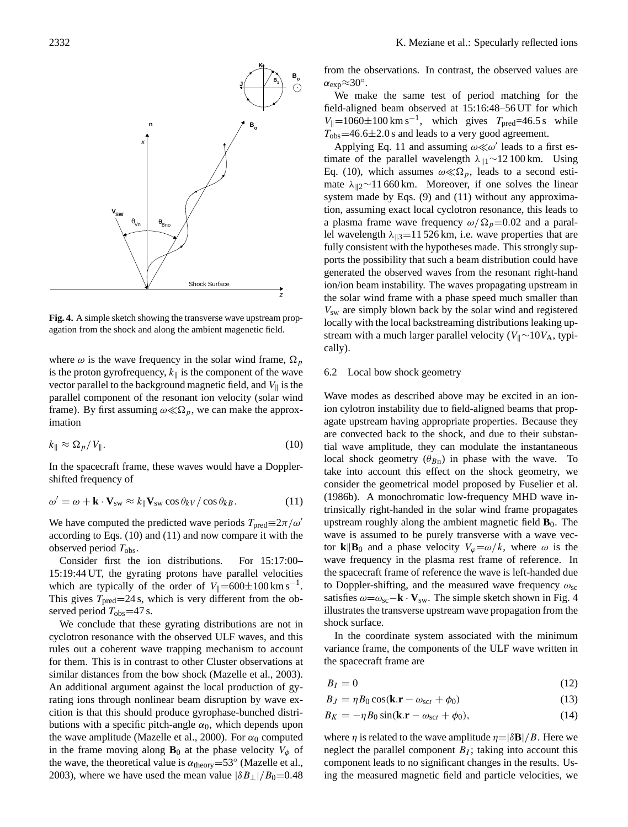

**Fig. 4.** A simple sketch showing the transverse wave upstream propagation from the shock and along the ambient magenetic field.

where  $\omega$  is the wave frequency in the solar wind frame,  $\Omega_p$ is the proton gyrofrequency,  $k_{\parallel}$  is the component of the wave vector parallel to the background magnetic field, and  $V_{\parallel}$  is the parallel component of the resonant ion velocity (solar wind frame). By first assuming  $\omega \ll \Omega_p$ , we can make the approximation

$$
k_{\parallel} \approx \Omega_p / V_{\parallel}. \tag{10}
$$

In the spacecraft frame, these waves would have a Dopplershifted frequency of

$$
\omega' = \omega + \mathbf{k} \cdot \mathbf{V}_{sw} \approx k_{\parallel} \mathbf{V}_{sw} \cos \theta_{kV} / \cos \theta_{kB}.
$$
 (11)

We have computed the predicted wave periods  $T_{pred} \equiv 2\pi/\omega'$ according to Eqs. (10) and (11) and now compare it with the observed period  $T_{\text{obs}}$ .

Consider first the ion distributions. For 15:17:00– 15:19:44 UT, the gyrating protons have parallel velocities which are typically of the order of  $V_{\parallel} = 600 \pm 100 \text{ km s}^{-1}$ . This gives  $T_{pred} = 24$  s, which is very different from the observed period  $T_{\text{obs}}$ =47 s.

We conclude that these gyrating distributions are not in cyclotron resonance with the observed ULF waves, and this rules out a coherent wave trapping mechanism to account for them. This is in contrast to other Cluster observations at similar distances from the bow shock (Mazelle et al., 2003). An additional argument against the local production of gyrating ions through nonlinear beam disruption by wave excition is that this should produce gyrophase-bunched distributions with a specific pitch-angle  $\alpha_0$ , which depends upon the wave amplitude (Mazelle et al., 2000). For  $\alpha_0$  computed in the frame moving along  $\mathbf{B}_0$  at the phase velocity  $V_\phi$  of the wave, the theoretical value is  $\alpha_{\text{theory}} = 53^{\circ}$  (Mazelle et al., 2003), where we have used the mean value  $|\delta B_{\perp}|/B_0=0.48$  from the observations. In contrast, the observed values are  $\alpha_{\exp} \approx 30^{\circ}$ .

We make the same test of period matching for the field-aligned beam observed at 15:16:48–56 UT for which  $V_{\parallel} = 1060 \pm 100 \text{ km s}^{-1}$ , which gives  $T_{\text{pred}} = 46.5 \text{ s}$  while  $T_{\text{obs}}$ =46.6 $\pm$ 2.0 s and leads to a very good agreement.

Applying Eq. 11 and assuming  $\omega \ll \omega'$  leads to a first estimate of the parallel wavelength  $\lambda_{\parallel 1}$ ∼12 100 km. Using Eq. (10), which assumes  $\omega \ll \Omega_p$ , leads to a second estimate  $\lambda_{\parallel 2}$ ∼11 660 km. Moreover, if one solves the linear system made by Eqs. (9) and (11) without any approximation, assuming exact local cyclotron resonance, this leads to a plasma frame wave frequency  $\omega/\Omega_p=0.02$  and a parallel wavelength  $\lambda_{\parallel 3}=11$  526 km, i.e. wave properties that are fully consistent with the hypotheses made. This strongly supports the possibility that such a beam distribution could have generated the observed waves from the resonant right-hand ion/ion beam instability. The waves propagating upstream in the solar wind frame with a phase speed much smaller than  $V_{\rm sw}$  are simply blown back by the solar wind and registered locally with the local backstreaming distributions leaking upstream with a much larger parallel velocity ( $V_{\parallel}$ ∼10 $V_{\text{A}}$ , typically).

# 6.2 Local bow shock geometry

Wave modes as described above may be excited in an ionion cylotron instability due to field-aligned beams that propagate upstream having appropriate properties. Because they are convected back to the shock, and due to their substantial wave amplitude, they can modulate the instantaneous local shock geometry  $(\theta_{Bn})$  in phase with the wave. To take into account this effect on the shock geometry, we consider the geometrical model proposed by Fuselier et al. (1986b). A monochromatic low-frequency MHD wave intrinsically right-handed in the solar wind frame propagates upstream roughly along the ambient magnetic field  $\mathbf{B}_0$ . The wave is assumed to be purely transverse with a wave vector **k** $\mathbf{B}_0$  and a phase velocity  $V_\varphi = \omega/k$ , where  $\omega$  is the wave frequency in the plasma rest frame of reference. In the spacecraft frame of reference the wave is left-handed due to Doppler-shifting, and the measured wave frequency  $\omega_{\rm sc}$ satisfies  $\omega = \omega_{\rm sc} - \mathbf{k} \cdot \mathbf{V}_{\rm sw}$ . The simple sketch shown in Fig. 4 illustrates the transverse upstream wave propagation from the shock surface.

In the coordinate system associated with the minimum variance frame, the components of the ULF wave written in the spacecraft frame are

$$
B_I = 0 \tag{12}
$$

 $B_J = \eta B_0 \cos(k \cdot \mathbf{r} - \omega_{\text{sc}t} + \phi_0)$  (13)

$$
B_K = -\eta B_0 \sin(\mathbf{k}.\mathbf{r} - \omega_{\rm sct} + \phi_0),\tag{14}
$$

where  $\eta$  is related to the wave amplitude  $\eta = |\delta \mathbf{B}|/B$ . Here we neglect the parallel component  $B<sub>I</sub>$ ; taking into account this component leads to no significant changes in the results. Using the measured magnetic field and particle velocities, we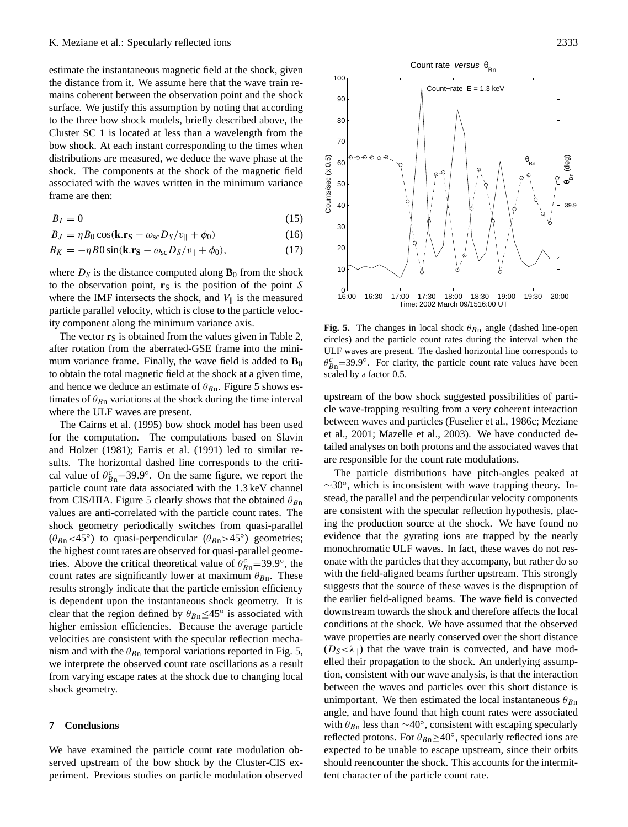estimate the instantaneous magnetic field at the shock, given the distance from it. We assume here that the wave train remains coherent between the observation point and the shock surface. We justify this assumption by noting that according to the three bow shock models, briefly described above, the Cluster SC 1 is located at less than a wavelength from the bow shock. At each instant corresponding to the times when distributions are measured, we deduce the wave phase at the shock. The components at the shock of the magnetic field associated with the waves written in the minimum variance frame are then:

$$
B_I = 0 \tag{15}
$$

$$
B_J = \eta B_0 \cos(\mathbf{k} \cdot \mathbf{r}_S - \omega_{sc} D_S / v_{\parallel} + \phi_0)
$$
 (16)

$$
B_K = -\eta B0 \sin(\mathbf{k}.\mathbf{r}_S - \omega_{\rm sc} D_S/v_{\parallel} + \phi_0),\tag{17}
$$

where  $D<sub>S</sub>$  is the distance computed along  $\mathbf{B}<sub>0</sub>$  from the shock to the observation point,  $\mathbf{r}_S$  is the position of the point S where the IMF intersects the shock, and  $V_{\parallel}$  is the measured particle parallel velocity, which is close to the particle velocity component along the minimum variance axis.

The vector  $\mathbf{r}_S$  is obtained from the values given in Table 2, after rotation from the aberrated-GSE frame into the minimum variance frame. Finally, the wave field is added to  $\mathbf{B}_0$ to obtain the total magnetic field at the shock at a given time, and hence we deduce an estimate of  $\theta_{Bn}$ . Figure 5 shows estimates of  $\theta_{Bn}$  variations at the shock during the time interval where the ULF waves are present.

The Cairns et al. (1995) bow shock model has been used for the computation. The computations based on Slavin and Holzer (1981); Farris et al. (1991) led to similar results. The horizontal dashed line corresponds to the critical value of  $\theta_{Bn}^c = 39.9^\circ$ . On the same figure, we report the particle count rate data associated with the 1.3 keV channel from CIS/HIA. Figure 5 clearly shows that the obtained  $\theta_{Bn}$ values are anti-correlated with the particle count rates. The shock geometry periodically switches from quasi-parallel  $(\theta_{Bn}$ <45°) to quasi-perpendicular  $(\theta_{Bn}$ >45°) geometries; the highest count rates are observed for quasi-parallel geometries. Above the critical theoretical value of  $\theta_{Bn}^c = 39.9^\circ$ , the count rates are significantly lower at maximum  $\theta_{Bn}$ . These results strongly indicate that the particle emission efficiency is dependent upon the instantaneous shock geometry. It is clear that the region defined by  $\theta_{Bn} \leq 45^\circ$  is associated with higher emission efficiencies. Because the average particle velocities are consistent with the specular reflection mechanism and with the  $\theta_{Bn}$  temporal variations reported in Fig. 5, we interprete the observed count rate oscillations as a result from varying escape rates at the shock due to changing local shock geometry.

#### **7 Conclusions**

We have examined the particle count rate modulation observed upstream of the bow shock by the Cluster-CIS experiment. Previous studies on particle modulation observed

**Fig. 5.** The changes in local shock  $\theta_{Bn}$  angle (dashed line-open circles) and the particle count rates during the interval when the ULF waves are present. The dashed horizontal line corresponds to  $\theta_{Bn}^c = 39.9^\circ$ . For clarity, the particle count rate values have been scaled by a factor 0.5.

upstream of the bow shock suggested possibilities of particle wave-trapping resulting from a very coherent interaction between waves and particles (Fuselier et al., 1986c; Meziane et al., 2001; Mazelle et al., 2003). We have conducted detailed analyses on both protons and the associated waves that are responsible for the count rate modulations.

The particle distributions have pitch-angles peaked at ∼30◦ , which is inconsistent with wave trapping theory. Instead, the parallel and the perpendicular velocity components are consistent with the specular reflection hypothesis, placing the production source at the shock. We have found no evidence that the gyrating ions are trapped by the nearly monochromatic ULF waves. In fact, these waves do not resonate with the particles that they accompany, but rather do so with the field-aligned beams further upstream. This strongly suggests that the source of these waves is the dispruption of the earlier field-aligned beams. The wave field is convected downstream towards the shock and therefore affects the local conditions at the shock. We have assumed that the observed wave properties are nearly conserved over the short distance  $(D_S<\lambda_{\parallel})$  that the wave train is convected, and have modelled their propagation to the shock. An underlying assumption, consistent with our wave analysis, is that the interaction between the waves and particles over this short distance is unimportant. We then estimated the local instantaneous  $\theta_{Bn}$ angle, and have found that high count rates were associated with  $\theta_{Bn}$  less than ~40°, consistent with escaping specularly reflected protons. For  $\theta_{Bn} \ge 40^\circ$ , specularly reflected ions are expected to be unable to escape upstream, since their orbits should reencounter the shock. This accounts for the intermittent character of the particle count rate.

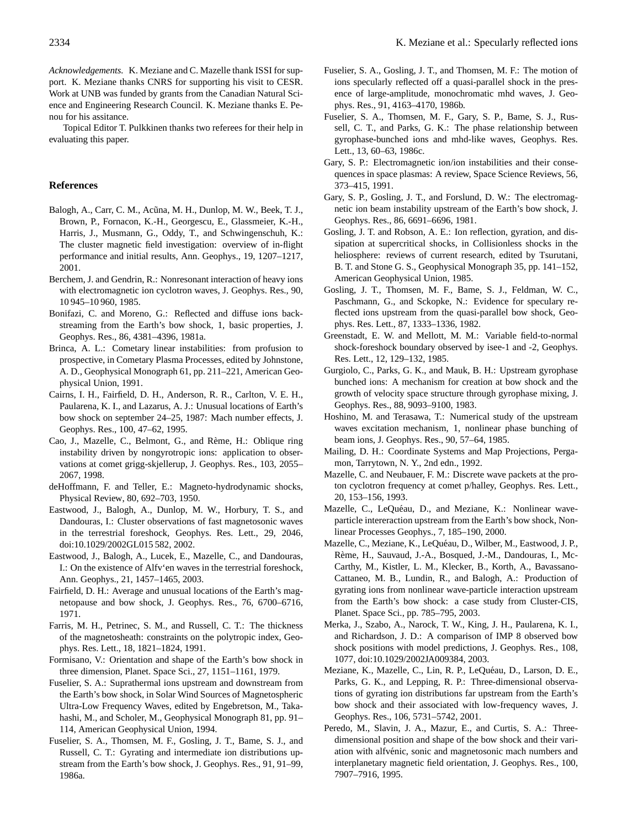*Acknowledgements.* K. Meziane and C. Mazelle thank ISSI for support. K. Meziane thanks CNRS for supporting his visit to CESR. Work at UNB was funded by grants from the Canadian Natural Science and Engineering Research Council. K. Meziane thanks E. Penou for his assitance.

Topical Editor T. Pulkkinen thanks two referees for their help in evaluating this paper.

### **References**

- Balogh, A., Carr, C. M., Acũna, M. H., Dunlop, M. W., Beek, T. J., Brown, P., Fornacon, K.-H., Georgescu, E., Glassmeier, K.-H., Harris, J., Musmann, G., Oddy, T., and Schwingenschuh, K.: The cluster magnetic field investigation: overview of in-flight performance and initial results, Ann. Geophys., 19, 1207–1217, 2001.
- Berchem, J. and Gendrin, R.: Nonresonant interaction of heavy ions with electromagnetic ion cyclotron waves, J. Geophys. Res., 90, 10 945–10 960, 1985.
- Bonifazi, C. and Moreno, G.: Reflected and diffuse ions backstreaming from the Earth's bow shock, 1, basic properties, J. Geophys. Res., 86, 4381–4396, 1981a.
- Brinca, A. L.: Cometary linear instabilities: from profusion to prospective, in Cometary Plasma Processes, edited by Johnstone, A. D., Geophysical Monograph 61, pp. 211–221, American Geophysical Union, 1991.
- Cairns, I. H., Fairfield, D. H., Anderson, R. R., Carlton, V. E. H., Paularena, K. I., and Lazarus, A. J.: Unusual locations of Earth's bow shock on september 24–25, 1987: Mach number effects, J. Geophys. Res., 100, 47–62, 1995.
- Cao, J., Mazelle, C., Belmont, G., and Rème, H.: Oblique ring instability driven by nongyrotropic ions: application to observations at comet grigg-skjellerup, J. Geophys. Res., 103, 2055– 2067, 1998.
- deHoffmann, F. and Teller, E.: Magneto-hydrodynamic shocks, Physical Review, 80, 692–703, 1950.
- Eastwood, J., Balogh, A., Dunlop, M. W., Horbury, T. S., and Dandouras, I.: Cluster observations of fast magnetosonic waves in the terrestrial foreshock, Geophys. Res. Lett., 29, 2046, doi:10.1029/2002GL015 582, 2002.
- Eastwood, J., Balogh, A., Lucek, E., Mazelle, C., and Dandouras, I.: On the existence of Alfv'en waves in the terrestrial foreshock, Ann. Geophys., 21, 1457–1465, 2003.
- Fairfield, D. H.: Average and unusual locations of the Earth's magnetopause and bow shock, J. Geophys. Res., 76, 6700–6716, 1971.
- Farris, M. H., Petrinec, S. M., and Russell, C. T.: The thickness of the magnetosheath: constraints on the polytropic index, Geophys. Res. Lett., 18, 1821–1824, 1991.
- Formisano, V.: Orientation and shape of the Earth's bow shock in three dimension, Planet. Space Sci., 27, 1151–1161, 1979.
- Fuselier, S. A.: Suprathermal ions upstream and downstream from the Earth's bow shock, in Solar Wind Sources of Magnetospheric Ultra-Low Frequency Waves, edited by Engebretson, M., Takahashi, M., and Scholer, M., Geophysical Monograph 81, pp. 91– 114, American Geophysical Union, 1994.
- Fuselier, S. A., Thomsen, M. F., Gosling, J. T., Bame, S. J., and Russell, C. T.: Gyrating and intermediate ion distributions upstream from the Earth's bow shock, J. Geophys. Res., 91, 91–99, 1986a.
- Fuselier, S. A., Gosling, J. T., and Thomsen, M. F.: The motion of ions specularly reflected off a quasi-parallel shock in the presence of large-amplitude, monochromatic mhd waves, J. Geophys. Res., 91, 4163–4170, 1986b.
- Fuselier, S. A., Thomsen, M. F., Gary, S. P., Bame, S. J., Russell, C. T., and Parks, G. K.: The phase relationship between gyrophase-bunched ions and mhd-like waves, Geophys. Res. Lett., 13, 60–63, 1986c.
- Gary, S. P.: Electromagnetic ion/ion instabilities and their consequences in space plasmas: A review, Space Science Reviews, 56, 373–415, 1991.
- Gary, S. P., Gosling, J. T., and Forslund, D. W.: The electromagnetic ion beam instability upstream of the Earth's bow shock, J. Geophys. Res., 86, 6691–6696, 1981.
- Gosling, J. T. and Robson, A. E.: Ion reflection, gyration, and dissipation at supercritical shocks, in Collisionless shocks in the heliosphere: reviews of current research, edited by Tsurutani, B. T. and Stone G. S., Geophysical Monograph 35, pp. 141–152, American Geophysical Union, 1985.
- Gosling, J. T., Thomsen, M. F., Bame, S. J., Feldman, W. C., Paschmann, G., and Sckopke, N.: Evidence for speculary reflected ions upstream from the quasi-parallel bow shock, Geophys. Res. Lett., 87, 1333–1336, 1982.
- Greenstadt, E. W. and Mellott, M. M.: Variable field-to-normal shock-foreshock boundary observed by isee-1 and -2, Geophys. Res. Lett., 12, 129–132, 1985.
- Gurgiolo, C., Parks, G. K., and Mauk, B. H.: Upstream gyrophase bunched ions: A mechanism for creation at bow shock and the growth of velocity space structure through gyrophase mixing, J. Geophys. Res., 88, 9093–9100, 1983.
- Hoshino, M. and Terasawa, T.: Numerical study of the upstream waves excitation mechanism, 1, nonlinear phase bunching of beam ions, J. Geophys. Res., 90, 57–64, 1985.
- Mailing, D. H.: Coordinate Systems and Map Projections, Pergamon, Tarrytown, N. Y., 2nd edn., 1992.
- Mazelle, C. and Neubauer, F. M.: Discrete wave packets at the proton cyclotron frequency at comet p/halley, Geophys. Res. Lett., 20, 153–156, 1993.
- Mazelle, C., LeQuéau, D., and Meziane, K.: Nonlinear waveparticle intereraction upstream from the Earth's bow shock, Nonlinear Processes Geophys., 7, 185–190, 2000.
- Mazelle, C., Meziane, K., LeQuéau, D., Wilber, M., Eastwood, J. P., Rème, H., Sauvaud, J.-A., Bosqued, J.-M., Dandouras, I., Mc-Carthy, M., Kistler, L. M., Klecker, B., Korth, A., Bavassano-Cattaneo, M. B., Lundin, R., and Balogh, A.: Production of gyrating ions from nonlinear wave-particle interaction upstream from the Earth's bow shock: a case study from Cluster-CIS, Planet. Space Sci., pp. 785–795, 2003.
- Merka, J., Szabo, A., Narock, T. W., King, J. H., Paularena, K. I., and Richardson, J. D.: A comparison of IMP 8 observed bow shock positions with model predictions, J. Geophys. Res., 108, 1077, doi:10.1029/2002JA009384, 2003.
- Meziane, K., Mazelle, C., Lin, R. P., LeQuéau, D., Larson, D. E., Parks, G. K., and Lepping, R. P.: Three-dimensional observations of gyrating ion distributions far upstream from the Earth's bow shock and their associated with low-frequency waves, J. Geophys. Res., 106, 5731–5742, 2001.
- Peredo, M., Slavin, J. A., Mazur, E., and Curtis, S. A.: Threedimensional position and shape of the bow shock and their variation with alfvénic, sonic and magnetosonic mach numbers and interplanetary magnetic field orientation, J. Geophys. Res., 100, 7907–7916, 1995.